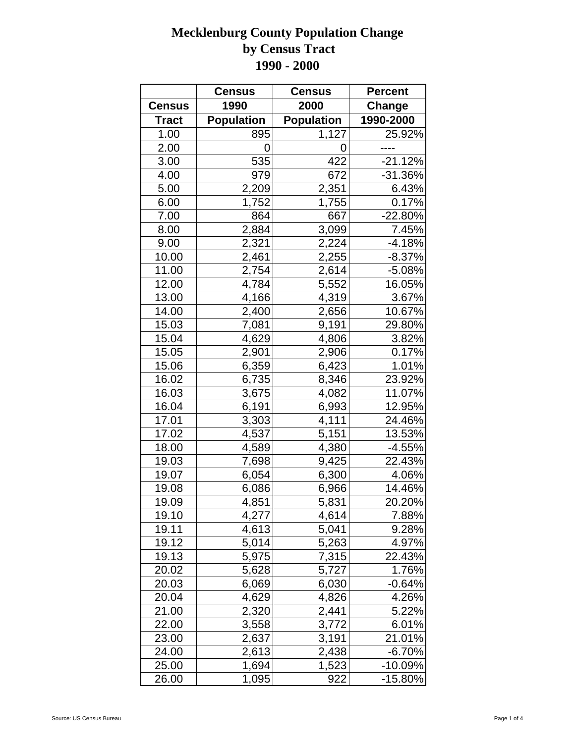|               | <b>Census</b>     | <b>Census</b>     | <b>Percent</b> |
|---------------|-------------------|-------------------|----------------|
| <b>Census</b> | 1990              | 2000              | Change         |
| <b>Tract</b>  | <b>Population</b> | <b>Population</b> | 1990-2000      |
| 1.00          | 895               | 1,127             | 25.92%         |
| 2.00          | 0                 | 0                 |                |
| 3.00          | 535               | 422               | $-21.12%$      |
| 4.00          | 979               | 672               | $-31.36%$      |
| 5.00          | 2,209             | 2,351             | 6.43%          |
| 6.00          | 1,752             | 1,755             | 0.17%          |
| 7.00          | 864               | 667               | $-22.80%$      |
| 8.00          | 2,884             | 3,099             | 7.45%          |
| 9.00          | 2,321             | 2,224             | $-4.18%$       |
| 10.00         | 2,461             | 2,255             | $-8.37%$       |
| 11.00         | 2,754             | 2,614             | $-5.08%$       |
| 12.00         | 4,784             | 5,552             | 16.05%         |
| 13.00         | 4,166             | 4,319             | 3.67%          |
| 14.00         | 2,400             | 2,656             | 10.67%         |
| 15.03         | 7,081             | 9,191             | 29.80%         |
| 15.04         | 4,629             | 4,806             | 3.82%          |
| 15.05         | 2,901             | 2,906             | 0.17%          |
| 15.06         | 6,359             | 6,423             | 1.01%          |
| 16.02         | 6,735             | 8,346             | 23.92%         |
| 16.03         | 3,675             | 4,082             | 11.07%         |
| 16.04         | 6,191             | 6,993             | 12.95%         |
| 17.01         | 3,303             | 4,111             | 24.46%         |
| 17.02         | 4,537             | 5,151             | 13.53%         |
| 18.00         | 4,589             | 4,380             | $-4.55%$       |
| 19.03         | 7,698             | 9,425             | 22.43%         |
| 19.07         | 6,054             | 6,300             | 4.06%          |
| 19.08         | 6,086             | 6,966             | 14.46%         |
| 19.09         | 4,851             | 5,831             | 20.20%         |
| 19.10         | 4,277             | 4,614             | 7.88%          |
| 19.11         | 4,613             | 5,041             | 9.28%          |
| 19.12         | 5,014             | 5,263             | 4.97%          |
| 19.13         | 5,975             | 7,315             | 22.43%         |
| 20.02         | 5,628             | 5,727             | 1.76%          |
| 20.03         | 6,069             | 6,030             | $-0.64%$       |
| 20.04         | 4,629             | 4,826             | 4.26%          |
| 21.00         | 2,320             | 2,441             | 5.22%          |
| 22.00         | 3,558             | 3,772             | 6.01%          |
| 23.00         | 2,637             | 3,191             | 21.01%         |
| 24.00         | 2,613             | 2,438             | $-6.70%$       |
| 25.00         | 1,694             | 1,523             | $-10.09%$      |
| 26.00         | 1,095             | 922               | -15.80%        |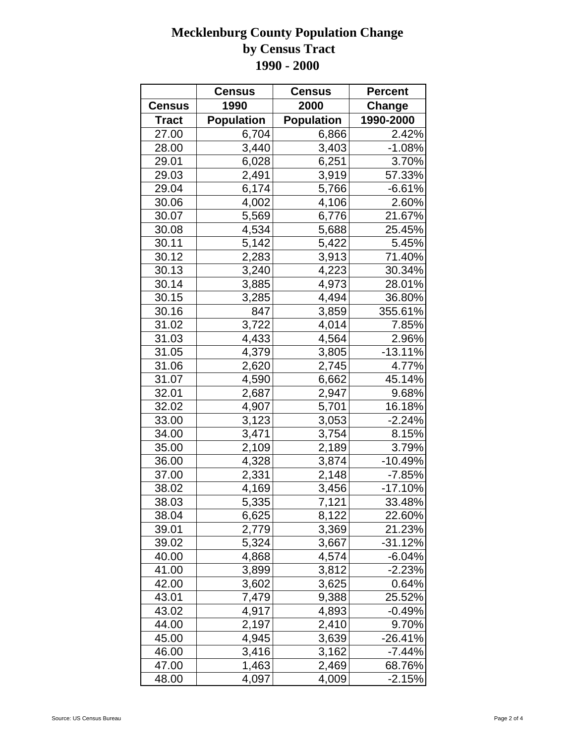|               | <b>Census</b>     | <b>Census</b>     | <b>Percent</b> |
|---------------|-------------------|-------------------|----------------|
| <b>Census</b> | 1990              | 2000              | <b>Change</b>  |
| <b>Tract</b>  | <b>Population</b> | <b>Population</b> | 1990-2000      |
| 27.00         | 6,704             | 6,866             | 2.42%          |
| 28.00         | 3,440             | 3,403             | $-1.08%$       |
| 29.01         | 6,028             | 6,251             | 3.70%          |
| 29.03         | 2,491             | 3,919             | 57.33%         |
| 29.04         | 6,174             | 5,766             | $-6.61%$       |
| 30.06         | 4,002             | 4,106             | 2.60%          |
| 30.07         | 5,569             | 6,776             | 21.67%         |
| 30.08         | 4,534             | 5,688             | 25.45%         |
| 30.11         | 5,142             | 5,422             | 5.45%          |
| 30.12         | 2,283             | 3,913             | 71.40%         |
| 30.13         | 3,240             | 4,223             | 30.34%         |
| 30.14         | 3,885             | 4,973             | 28.01%         |
| 30.15         | 3,285             | 4,494             | 36.80%         |
| 30.16         | 847               | 3,859             | 355.61%        |
| 31.02         | 3,722             | 4,014             | 7.85%          |
| 31.03         | 4,433             | 4,564             | 2.96%          |
| 31.05         | 4,379             | 3,805             | $-13.11%$      |
| 31.06         | 2,620             | 2,745             | 4.77%          |
| 31.07         | 4,590             | 6,662             | 45.14%         |
| 32.01         | 2,687             | 2,947             | 9.68%          |
| 32.02         | 4,907             | 5,701             | 16.18%         |
| 33.00         | 3,123             | 3,053             | $-2.24%$       |
| 34.00         | 3,471             | 3,754             | 8.15%          |
| 35.00         | 2,109             | 2,189             | 3.79%          |
| 36.00         | 4,328             | 3,874             | $-10.49%$      |
| 37.00         | 2,331             | 2,148             | $-7.85%$       |
| 38.02         | 4,169             | 3,456             | $-17.10%$      |
| 38.03         | 5,335             | 7,121             | 33.48%         |
| 38.04         | 6,625             | 8,122             | 22.60%         |
| 39.01         | 2,779             | 3,369             | 21.23%         |
| 39.02         | 5,324             | 3,667             | -31.12%        |
| 40.00         | 4,868             | 4,574             | $-6.04%$       |
| 41.00         | 3,899             | 3,812             | -2.23%         |
| 42.00         | 3,602             | 3,625             | 0.64%          |
| 43.01         | 7,479             | 9,388             | 25.52%         |
| 43.02         | 4,917             | 4,893             | -0.49%         |
| 44.00         | 2,197             | 2,410             | 9.70%          |
| 45.00         | 4,945             | 3,639             | -26.41%        |
| 46.00         | 3,416             | 3,162             | -7.44%         |
| 47.00         | 1,463             | 2,469             | 68.76%         |
| 48.00         | 4,097             | 4,009             | $-2.15%$       |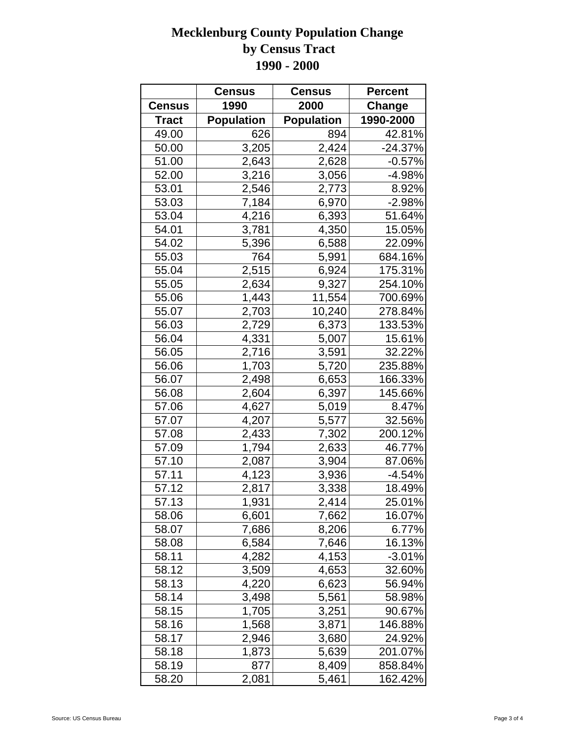|               | <b>Census</b>     | <b>Census</b>     | <b>Percent</b> |
|---------------|-------------------|-------------------|----------------|
| <b>Census</b> | 1990              | 2000              | Change         |
| <b>Tract</b>  | <b>Population</b> | <b>Population</b> | 1990-2000      |
| 49.00         | 626               | 894               | 42.81%         |
| 50.00         | 3,205             | 2,424             | $-24.37%$      |
| 51.00         | 2,643             | 2,628             | $-0.57%$       |
| 52.00         | 3,216             | 3,056             | $-4.98%$       |
| 53.01         | 2,546             | 2,773             | 8.92%          |
| 53.03         | 7,184             | 6,970             | $-2.98%$       |
| 53.04         | 4,216             | 6,393             | 51.64%         |
| 54.01         | 3,781             | 4,350             | 15.05%         |
| 54.02         | 5,396             | 6,588             | 22.09%         |
| 55.03         | 764               | 5,991             | 684.16%        |
| 55.04         | 2,515             | 6,924             | 175.31%        |
| 55.05         | 2,634             | 9,327             | 254.10%        |
| 55.06         | 1,443             | 11,554            | 700.69%        |
| 55.07         | 2,703             | 10,240            | 278.84%        |
| 56.03         | 2,729             | 6,373             | 133.53%        |
| 56.04         | 4,331             | 5,007             | 15.61%         |
| 56.05         | 2,716             | 3,591             | 32.22%         |
| 56.06         | 1,703             | 5,720             | 235.88%        |
| 56.07         | 2,498             | 6,653             | 166.33%        |
| 56.08         | 2,604             | 6,397             | 145.66%        |
| 57.06         | 4,627             | 5,019             | 8.47%          |
| 57.07         | 4,207             | 5,577             | 32.56%         |
| 57.08         | 2,433             | 7,302             | 200.12%        |
| 57.09         | 1,794             | 2,633             | 46.77%         |
| 57.10         | 2,087             | 3,904             | 87.06%         |
| 57.11         | 4,123             | 3,936             | $-4.54%$       |
| 57.12         | 2,817             | 3,338             | 18.49%         |
| 57.13         | 1,931             | 2,414             | 25.01%         |
| 58.06         | 6,601             | 7,662             | 16.07%         |
| 58.07         | 7,686             | 8,206             | 6.77%          |
| 58.08         | 6,584             | 7,646             | 16.13%         |
| 58.11         | 4,282             | 4,153             | $-3.01%$       |
| 58.12         | 3,509             | 4,653             | 32.60%         |
| 58.13         | 4,220             | 6,623             | 56.94%         |
| 58.14         | 3,498             | 5,561             | 58.98%         |
| 58.15         | 1,705             | 3,251             | 90.67%         |
| 58.16         | 1,568             | 3,871             | 146.88%        |
| 58.17         | 2,946             | 3,680             | 24.92%         |
| 58.18         | 1,873             | 5,639             | 201.07%        |
| 58.19         | 877               | 8,409             | 858.84%        |
| 58.20         | 2,081             | 5,461             | 162.42%        |